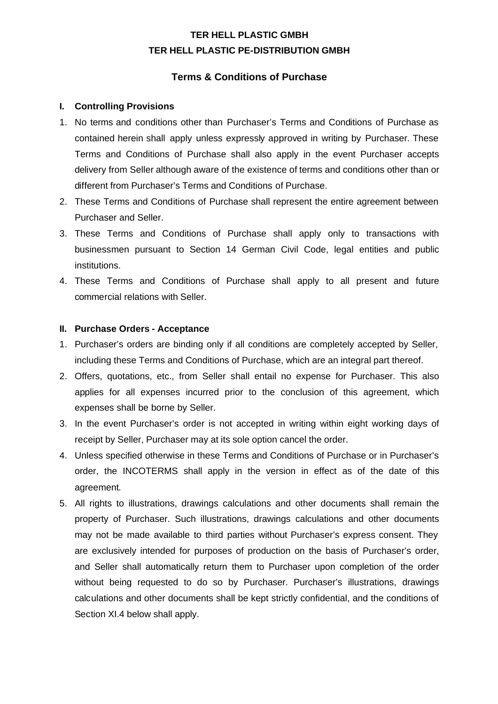# **TER HELL PLASTIC GMBH TER HELL PLASTIC PE-DISTRIBUTION GMBH**

# **Terms & Conditions of Purchase**

### **I. Controlling Provisions**

- 1. No terms and conditions other than Purchaser's Terms and Conditions of Purchase as contained herein shall apply unless expressly approved in writing by Purchaser. These Terms and Conditions of Purchase shall also apply in the event Purchaser accepts delivery from Seller although aware of the existence of terms and conditions other than or different from Purchaser's Terms and Conditions of Purchase.
- 2. These Terms and Conditions of Purchase shall represent the entire agreement between Purchaser and Seller.
- 3. These Terms and Conditions of Purchase shall apply only to transactions with businessmen pursuant to Section 14 German Civil Code, legal entities and public institutions.
- 4. These Terms and Conditions of Purchase shall apply to all present and future commercial relations with Seller.

## **II. Purchase Orders - Acceptance**

- 1. Purchaser's orders are binding only if all conditions are completely accepted by Seller, including these Terms and Conditions of Purchase, which are an integral part thereof.
- 2. Offers, quotations, etc., from Seller shall entail no expense for Purchaser. This also applies for all expenses incurred prior to the conclusion of this agreement, which expenses shall be borne by Seller.
- 3. In the event Purchaser's order is not accepted in writing within eight working days of receipt by Seller, Purchaser may at its sole option cancel the order.
- 4. Unless specified otherwise in these Terms and Conditions of Purchase or in Purchaser's order, the INCOTERMS shall apply in the version in effect as of the date of this agreement.
- 5. All rights to illustrations, drawings calculations and other documents shall remain the property of Purchaser. Such illustrations, drawings calculations and other documents may not be made available to third parties without Purchaser's express consent. They are exclusively intended for purposes of production on the basis of Purchaser's order, and Seller shall automatically return them to Purchaser upon completion of the order without being requested to do so by Purchaser. Purchaser's illustrations, drawings calculations and other documents shall be kept strictly confidential, and the conditions of Section XI.4 below shall apply.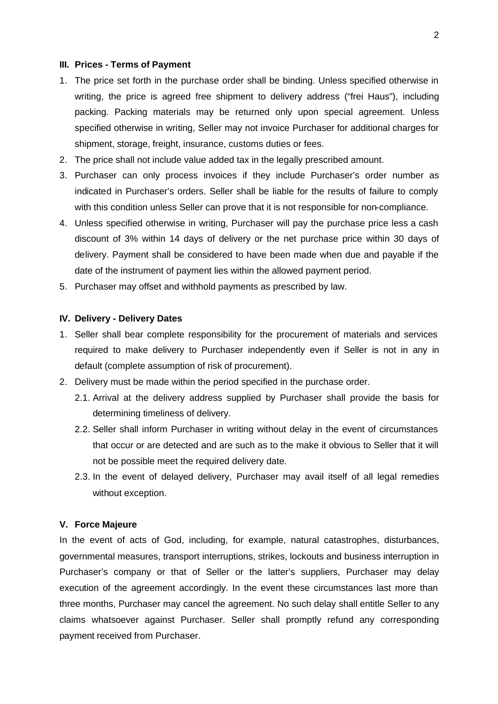#### **III. Prices - Terms of Payment**

- 1. The price set forth in the purchase order shall be binding. Unless specified otherwise in writing, the price is agreed free shipment to delivery address ("frei Haus"), including packing. Packing materials may be returned only upon special agreement. Unless specified otherwise in writing, Seller may not invoice Purchaser for additional charges for shipment, storage, freight, insurance, customs duties or fees.
- 2. The price shall not include value added tax in the legally prescribed amount.
- 3. Purchaser can only process invoices if they include Purchaser's order number as indicated in Purchaser's orders. Seller shall be liable for the results of failure to comply with this condition unless Seller can prove that it is not responsible for non-compliance.
- 4. Unless specified otherwise in writing, Purchaser will pay the purchase price less a cash discount of 3% within 14 days of delivery or the net purchase price within 30 days of delivery. Payment shall be considered to have been made when due and payable if the date of the instrument of payment lies within the allowed payment period.
- 5. Purchaser may offset and withhold payments as prescribed by law.

#### **IV. Delivery - Delivery Dates**

- 1. Seller shall bear complete responsibility for the procurement of materials and services required to make delivery to Purchaser independently even if Seller is not in any in default (complete assumption of risk of procurement).
- 2. Delivery must be made within the period specified in the purchase order.
	- 2.1. Arrival at the delivery address supplied by Purchaser shall provide the basis for determining timeliness of delivery.
	- 2.2. Seller shall inform Purchaser in writing without delay in the event of circumstances that occur or are detected and are such as to the make it obvious to Seller that it will not be possible meet the required delivery date.
	- 2.3. In the event of delayed delivery, Purchaser may avail itself of all legal remedies without exception.

#### **V. Force Majeure**

In the event of acts of God, including, for example, natural catastrophes, disturbances, governmental measures, transport interruptions, strikes, lockouts and business interruption in Purchaser's company or that of Seller or the latter's suppliers, Purchaser may delay execution of the agreement accordingly. In the event these circumstances last more than three months, Purchaser may cancel the agreement. No such delay shall entitle Seller to any claims whatsoever against Purchaser. Seller shall promptly refund any corresponding payment received from Purchaser.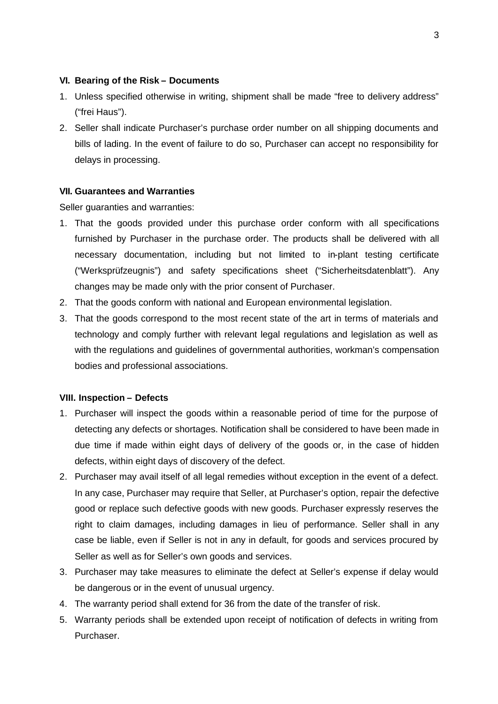### **VI. Bearing of the Risk – Documents**

- 1. Unless specified otherwise in writing, shipment shall be made "free to delivery address" ("frei Haus").
- 2. Seller shall indicate Purchaser's purchase order number on all shipping documents and bills of lading. In the event of failure to do so, Purchaser can accept no responsibility for delays in processing.

### **VII. Guarantees and Warranties**

Seller guaranties and warranties:

- 1. That the goods provided under this purchase order conform with all specifications furnished by Purchaser in the purchase order. The products shall be delivered with all necessary documentation, including but not limited to in-plant testing certificate ("Werksprüfzeugnis") and safety specifications sheet ("Sicherheitsdatenblatt"). Any changes may be made only with the prior consent of Purchaser.
- 2. That the goods conform with national and European environmental legislation.
- 3. That the goods correspond to the most recent state of the art in terms of materials and technology and comply further with relevant legal regulations and legislation as well as with the regulations and guidelines of governmental authorities, workman's compensation bodies and professional associations.

### **VIII. Inspection – Defects**

- 1. Purchaser will inspect the goods within a reasonable period of time for the purpose of detecting any defects or shortages. Notification shall be considered to have been made in due time if made within eight days of delivery of the goods or, in the case of hidden defects, within eight days of discovery of the defect.
- 2. Purchaser may avail itself of all legal remedies without exception in the event of a defect. In any case, Purchaser may require that Seller, at Purchaser's option, repair the defective good or replace such defective goods with new goods. Purchaser expressly reserves the right to claim damages, including damages in lieu of performance. Seller shall in any case be liable, even if Seller is not in any in default, for goods and services procured by Seller as well as for Seller's own goods and services.
- 3. Purchaser may take measures to eliminate the defect at Seller's expense if delay would be dangerous or in the event of unusual urgency.
- 4. The warranty period shall extend for 36 from the date of the transfer of risk.
- 5. Warranty periods shall be extended upon receipt of notification of defects in writing from Purchaser.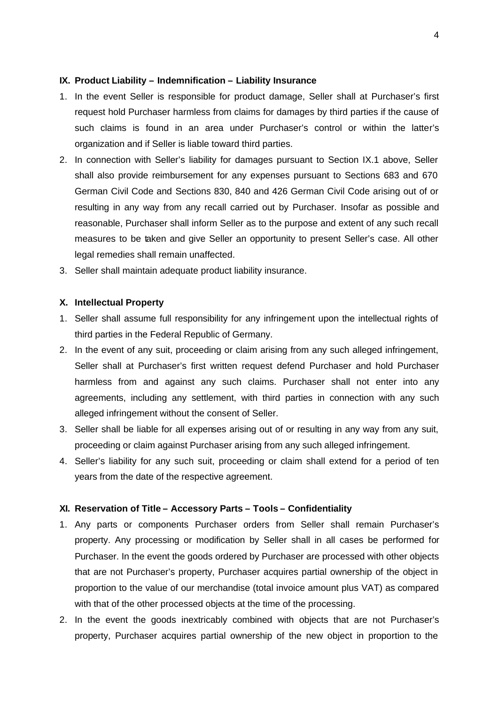#### **IX. Product Liability – Indemnification – Liability Insurance**

- 1. In the event Seller is responsible for product damage, Seller shall at Purchaser's first request hold Purchaser harmless from claims for damages by third parties if the cause of such claims is found in an area under Purchaser's control or within the latter's organization and if Seller is liable toward third parties.
- 2. In connection with Seller's liability for damages pursuant to Section IX.1 above, Seller shall also provide reimbursement for any expenses pursuant to Sections 683 and 670 German Civil Code and Sections 830, 840 and 426 German Civil Code arising out of or resulting in any way from any recall carried out by Purchaser. Insofar as possible and reasonable, Purchaser shall inform Seller as to the purpose and extent of any such recall measures to be taken and give Seller an opportunity to present Seller's case. All other legal remedies shall remain unaffected.
- 3. Seller shall maintain adequate product liability insurance.

### **X. Intellectual Property**

- 1. Seller shall assume full responsibility for any infringement upon the intellectual rights of third parties in the Federal Republic of Germany.
- 2. In the event of any suit, proceeding or claim arising from any such alleged infringement, Seller shall at Purchaser's first written request defend Purchaser and hold Purchaser harmless from and against any such claims. Purchaser shall not enter into any agreements, including any settlement, with third parties in connection with any such alleged infringement without the consent of Seller.
- 3. Seller shall be liable for all expenses arising out of or resulting in any way from any suit, proceeding or claim against Purchaser arising from any such alleged infringement.
- 4. Seller's liability for any such suit, proceeding or claim shall extend for a period of ten years from the date of the respective agreement.

### **XI. Reservation of Title – Accessory Parts – Tools – Confidentiality**

- 1. Any parts or components Purchaser orders from Seller shall remain Purchaser's property. Any processing or modification by Seller shall in all cases be performed for Purchaser. In the event the goods ordered by Purchaser are processed with other objects that are not Purchaser's property, Purchaser acquires partial ownership of the object in proportion to the value of our merchandise (total invoice amount plus VAT) as compared with that of the other processed objects at the time of the processing.
- 2. In the event the goods inextricably combined with objects that are not Purchaser's property, Purchaser acquires partial ownership of the new object in proportion to the